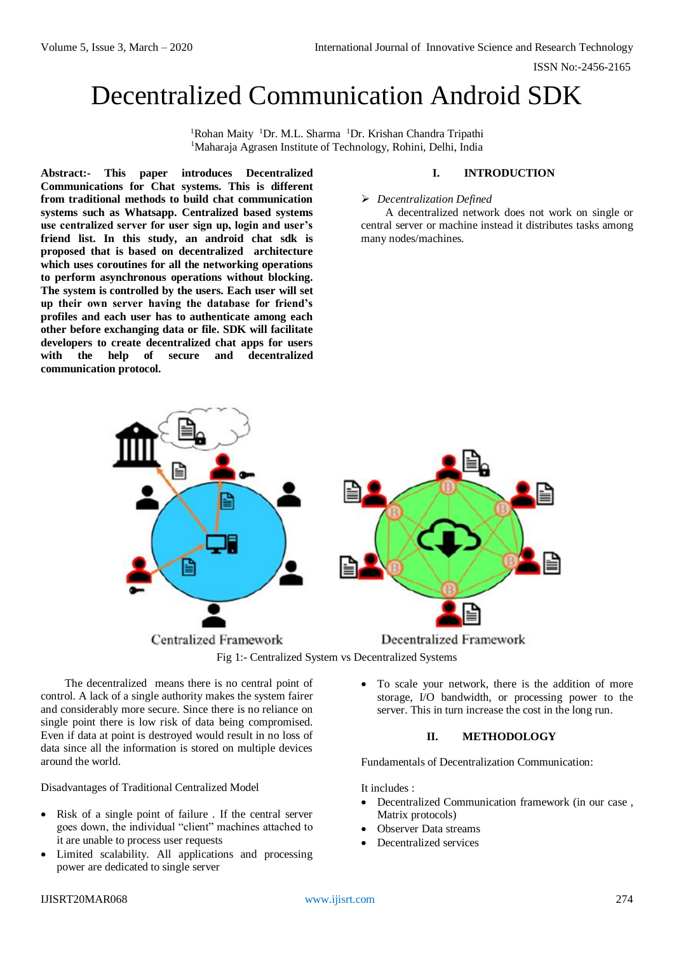# Decentralized Communication Android SDK

<sup>1</sup>Rohan Maity <sup>1</sup>Dr. M.L. Sharma <sup>1</sup>Dr. Krishan Chandra Tripathi <sup>1</sup>Maharaja Agrasen Institute of Technology, Rohini, Delhi, India

**Abstract:- This paper introduces Decentralized Communications for Chat systems. This is different from traditional methods to build chat communication systems such as Whatsapp. Centralized based systems use centralized server for user sign up, login and user's friend list. In this study, an android chat sdk is proposed that is based on decentralized architecture which uses coroutines for all the networking operations to perform asynchronous operations without blocking. The system is controlled by the users. Each user will set up their own server having the database for friend's profiles and each user has to authenticate among each other before exchanging data or file. SDK will facilitate developers to create decentralized chat apps for users with the help of secure and decentralized communication protocol.** 

## **I. INTRODUCTION**

#### *Decentralization Defined*

A decentralized network does not work on single or central server or machine instead it distributes tasks among many nodes/machines.





The decentralized means there is no central point of control. A lack of a single authority makes the system fairer and considerably more secure. Since there is no reliance on single point there is low risk of data being compromised. Even if data at point is destroyed would result in no loss of data since all the information is stored on multiple devices around the world.

Disadvantages of Traditional Centralized Model

- Risk of a single point of failure . If the central server goes down, the individual "client" machines attached to it are unable to process user requests
- Limited scalability. All applications and processing power are dedicated to single server

 To scale your network, there is the addition of more storage, I/O bandwidth, or processing power to the server. This in turn increase the cost in the long run.

## **II. METHODOLOGY**

Fundamentals of Decentralization Communication:

It includes :

- Decentralized Communication framework (in our case , Matrix protocols)
- Observer Data streams
- Decentralized services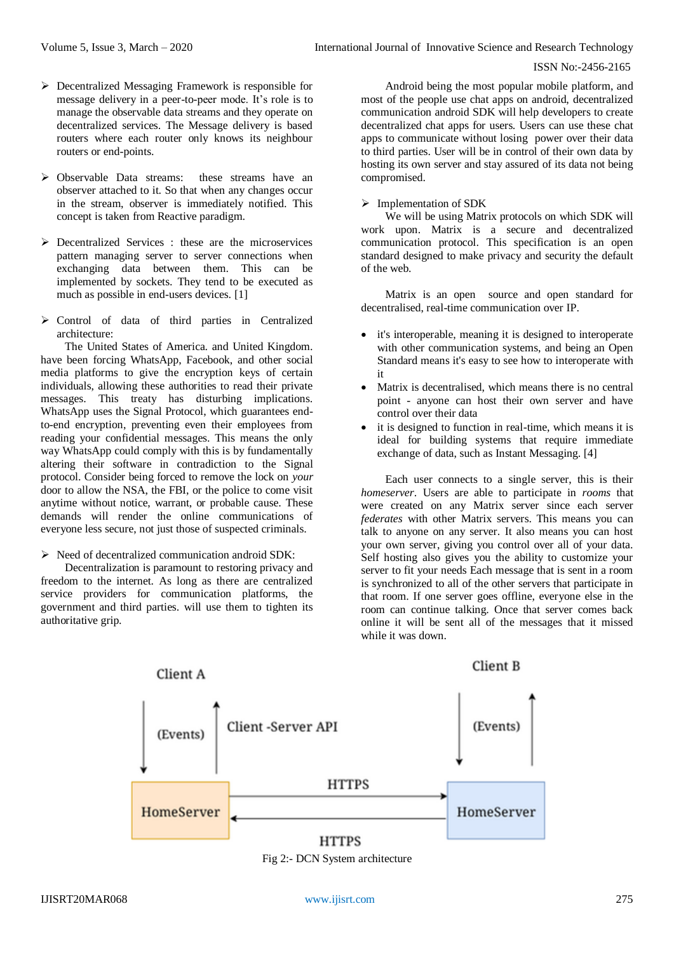- $\triangleright$  Decentralized Messaging Framework is responsible for message delivery in a peer-to-peer mode. It's role is to manage the observable data streams and they operate on decentralized services. The Message delivery is based routers where each router only knows its neighbour routers or end-points.
- Observable Data streams: these streams have an observer attached to it. So that when any changes occur in the stream, observer is immediately notified. This concept is taken from Reactive paradigm.
- $\triangleright$  Decentralized Services : these are the microservices pattern managing server to server connections when exchanging data between them. This can be implemented by sockets. They tend to be executed as much as possible in end-users devices. [1]
- $\triangleright$  Control of data of third parties in Centralized architecture:

The United States of America. and United Kingdom. have been forcing WhatsApp, Facebook, and other social media platforms to give the encryption keys of certain individuals, allowing these authorities to read their private messages. This treaty has disturbing implications. WhatsApp uses th[e](https://signal.org/) Signal Protocol, which guarantees endto-end encryption, preventing even their employees from reading your confidential messages. This means the only way WhatsApp could comply with this is by fundamentally altering their software in contradiction to the Signal protocol. Consider being forced to remove the lock on *your* door to allow the NSA, the FBI, or the police to come visit anytime without notice, warrant, or probable cause. These demands will render the online communications of everyone less secure, not just those of suspected criminals.

# $\triangleright$  Need of decentralized communication android SDK:

Decentralization is paramount to restoring privacy and freedom to the internet. As long as there are centralized service providers for communication platforms, the government and third parties. will use them to tighten its authoritative grip.

Android being the most popular mobile platform, and most of the people use chat apps on android, decentralized communication android SDK will help developers to create decentralized chat apps for users. Users can use these chat apps to communicate without losing power over their data to third parties. User will be in control of their own data by hosting its own server and stay assured of its data not being compromised.

# $\triangleright$  Implementation of SDK

We will be using Matrix protocols on which SDK will work upon. Matrix is a secure and decentralized communication protocol. This specification is an open standard designed to make privacy and security the default of the web.

Matrix is an open source and open standard for decentralised, real-time communication over IP.

- it's interoperable, meaning it is designed to interoperate with other communication systems, and being an Open Standard means it's easy to see how to interoperate with it
- Matrix is decentralised, which means there is no central point - anyone can host their own server and have control over their data
- it is designed to function in real-time, which means it is ideal for building systems that require immediate exchange of data, such as Instant Messaging. [4]

Each user connects to a single server, this is their *homeserver*. Users are able to participate in *rooms* that were created on any Matrix server since each server *federates* with other Matrix servers. This means you can talk to anyone on any server. It also means you can host your own server, giving you control over all of your data. Self hosting also gives you the ability to customize your server to fit your needs Each message that is sent in a room is synchronized to all of the other servers that participate in that room. If one server goes offline, everyone else in the room can continue talking. Once that server comes back online it will be sent all of the messages that it missed while it was down.



Fig 2:- DCN System architecture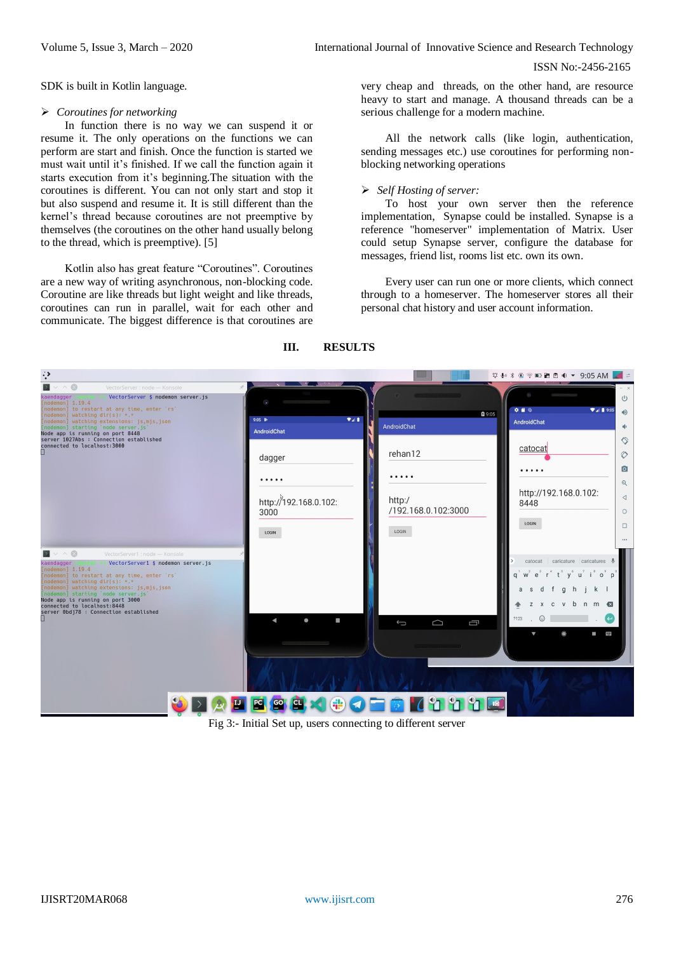SDK is built in Kotlin language.

#### *Coroutines for networking*

In function there is no way we can suspend it or resume it. The only operations on the functions we can perform are start and finish. Once the function is started we must wait until it's finished. If we call the function again it starts execution from it's beginning.The situation with the coroutines is different. You can not only start and stop it but also suspend and resume it. It is still different than the kernel's thread because coroutines are not preemptive by themselves (the coroutines on the other hand usually belong to the thread, which is preemptive). [5]

Kotlin also has great feature "Coroutines". Coroutines are a new way of writing asynchronous, non-blocking code. Coroutine are like threads but light weight and like threads, coroutines can run in parallel, wait for each other and communicate. The biggest difference is that coroutines are

very cheap and threads, on the other hand, are resource heavy to start and manage. A thousand threads can be a serious challenge for a modern machine.

All the network calls (like login, authentication, sending messages etc.) use coroutines for performing nonblocking networking operations

#### *Self Hosting of server:*

To host your own server then the reference implementation, [S](https://github.com/matrix-org/synapse)ynapse could be installed. Synapse is a reference "homeserver" implementation of Matrix. User could setup Synapse server, configure the database for messages, friend list, rooms list etc. own its own.

Every user can run one or more clients, which connect through to a homeserver. The homeserver stores all their personal chat history and user account information.



#### **III. RESULTS**

Fig 3:- Initial Set up, users connecting to different server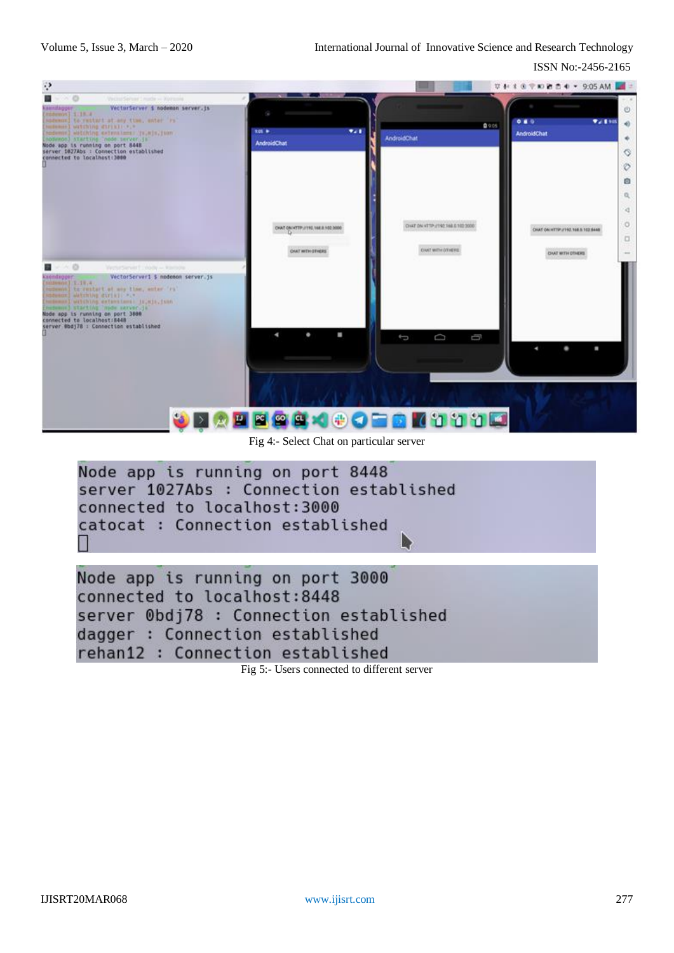ISSN No:-2456-2165



Fig 4:- Select Chat on particular server



rehan12 : Connection established

Fig 5:- Users connected to different server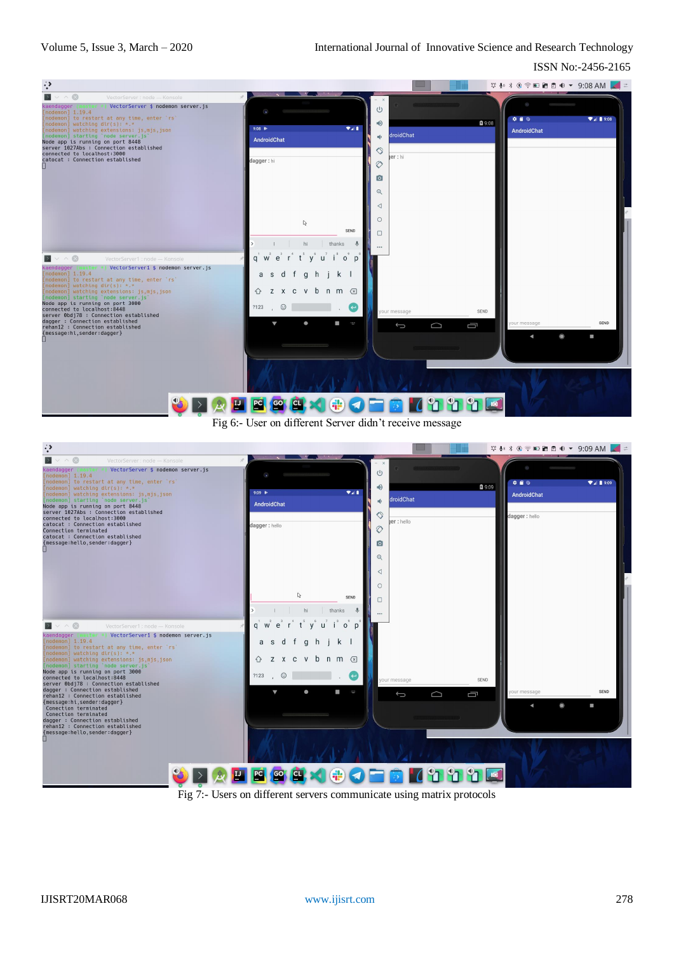

Fig 6:- User on different Server didn't receive message



Fig 7:- Users on different servers communicate using matrix protocols